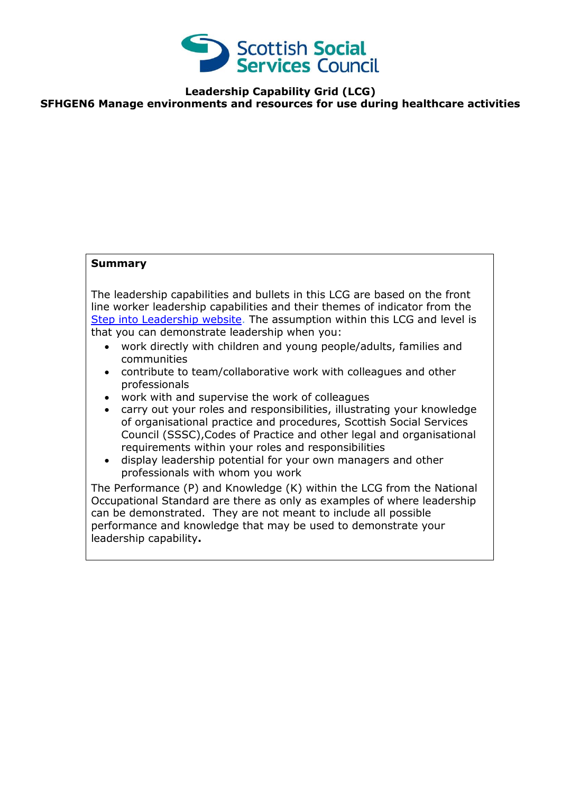

**Leadership Capability Grid (LCG)**

**SFHGEN6 Manage environments and resources for use during healthcare activities**

## **Summary**

The leadership capabilities and bullets in this LCG are based on the front line worker leadership capabilities and their themes of indicator from the [Step into Leadership website.](http://www.stepintoleadership.info/) The assumption within this LCG and level is that you can demonstrate leadership when you:

- work directly with children and young people/adults, families and communities
- contribute to team/collaborative work with colleagues and other professionals
- work with and supervise the work of colleagues
- carry out your roles and responsibilities, illustrating your knowledge of organisational practice and procedures, Scottish Social Services Council (SSSC),Codes of Practice and other legal and organisational requirements within your roles and responsibilities
- display leadership potential for your own managers and other professionals with whom you work

The Performance (P) and Knowledge (K) within the LCG from the National Occupational Standard are there as only as examples of where leadership can be demonstrated. They are not meant to include all possible performance and knowledge that may be used to demonstrate your leadership capability**.**